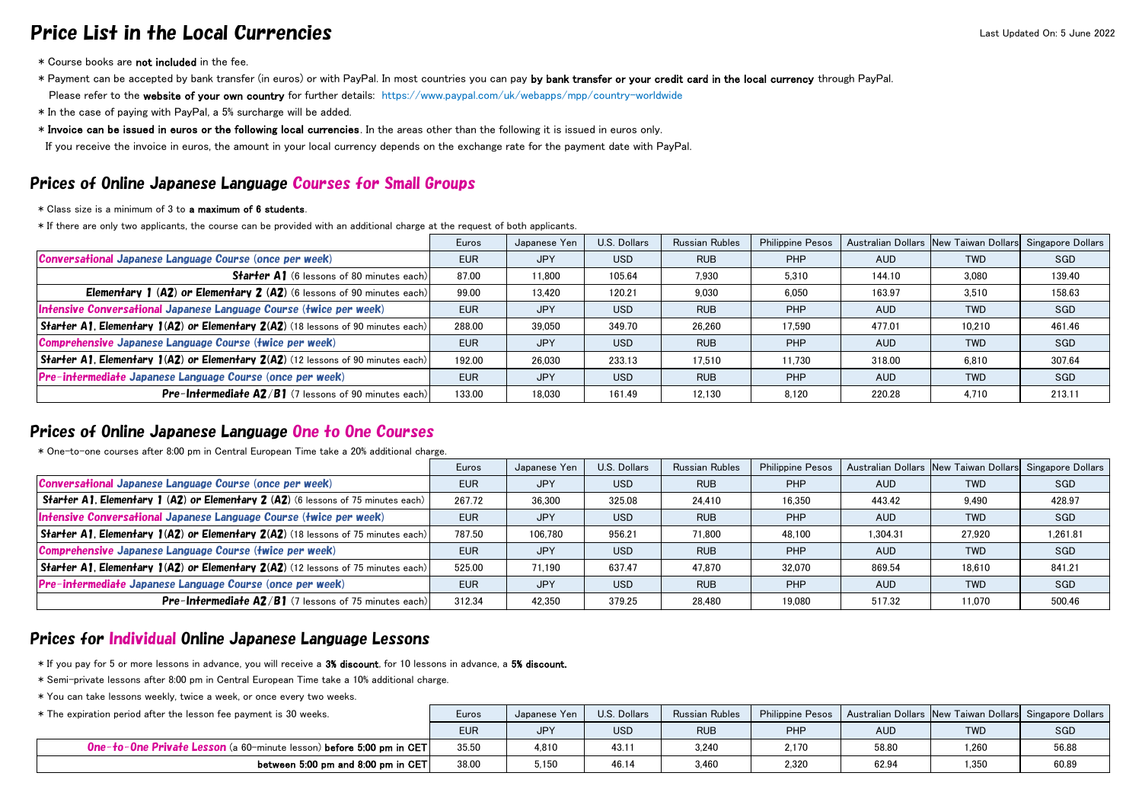## Price List in the Local Currencies Last Updated On: 5 June 2022

- \* Course books are not included in the fee.
- \* Payment can be accepted by bank transfer (in euros) or with PayPal. In most countries you can pay by bank transfer or your credit card in the local currency through PayPal. Please refer to the website of your own country for further details: https://www.paypal.com/uk/webapps/mpp/country-worldwide
- \* In the case of paying with PayPal, a 5% surcharge will be added.
- \* Invoice can be issued in euros or the following local currencies. In the areas other than the following it is issued in euros only.

If you receive the invoice in euros, the amount in your local currency depends on the exchange rate for the payment date with PayPal.

## Prices of Online Japanese Language Courses for Small Groups

- \* Class size is a minimum of 3 to a maximum of 6 students.
- \* If there are only two applicants, the course can be provided with an additional charge at the request of both applicants.

## Prices of Online Japanese Language One to One Courses

\* One-to-one courses after 8:00 pm in Central European Time take a 20% additional charge.

|                                                                                                      | Euros      | Japanese Yen | U.S. Dollars | <b>Russian Rubles</b> | <b>Philippine Pesos</b> |            | Australian Dollars New Taiwan Dollars Singapore Dollars |        |
|------------------------------------------------------------------------------------------------------|------------|--------------|--------------|-----------------------|-------------------------|------------|---------------------------------------------------------|--------|
| <b>Conversational Japanese Language Course (once per week)</b>                                       | <b>EUR</b> | <b>JPY</b>   | <b>USD</b>   | <b>RUB</b>            | <b>PHP</b>              | <b>AUD</b> | <b>TWD</b>                                              | SGD    |
| <b>Starter A1</b> (6 lessons of 80 minutes each)                                                     | 87.00      | 11,800       | 105.64       | 7,930                 | 5,310                   | 144.10     | 3,080                                                   | 139.40 |
| <b>Elementary 1 (A2) or Elementary 2 (A2) (6 lessons of 90 minutes each)</b>                         | 99.00      | 13.420       | 120.21       | 9,030                 | 6,050                   | 163.97     | 3,510                                                   | 158.63 |
| Intensive Conversational Japanese Language Course (twice per week)                                   | <b>EUR</b> | <b>JPY</b>   | <b>USD</b>   | <b>RUB</b>            | <b>PHP</b>              | <b>AUD</b> | <b>TWD</b>                                              | SGD    |
| <b>Starter A1, Elementary 1(A2) or Elementary <math>2(A2)</math></b> (18 lessons of 90 minutes each) | 288.00     | 39,050       | 349.70       | 26,260                | 17,590                  | 477.01     | 10,210                                                  | 461.46 |
| <b>Comprehensive Japanese Language Course (twice per week)</b>                                       | <b>EUR</b> | <b>JPY</b>   | <b>USD</b>   | <b>RUB</b>            | <b>PHP</b>              | <b>AUD</b> | <b>TWD</b>                                              | SGD    |
| Starter A1, Elementary $1(A2)$ or Elementary $2(A2)$ (12 lessons of 90 minutes each)                 | 192.00     | 26,030       | 233.13       | 17,510                | 11,730                  | 318.00     | 6,810                                                   | 307.64 |
| Pre-intermediate Japanese Language Course (once per week)                                            | <b>EUR</b> | <b>JPY</b>   | <b>USD</b>   | <b>RUB</b>            | <b>PHP</b>              | <b>AUD</b> | <b>TWD</b>                                              | SGD    |
| <b>Pre-Intermediate A2/B1</b> (7 lessons of 90 minutes each)                                         | 133.00     | 18,030       | 161.49       | 12,130                | 8,120                   | 220.28     | 4,710                                                   | 213.11 |

## Prices for Individual Online Japanese Language Lessons

|                                                                                                 | Euros      | Japanese Yen | U.S. Dollars | <b>Russian Rubles</b> | <b>Philippine Pesos</b> |            | Australian Dollars New Taiwan Dollars Singapore Dollars |          |
|-------------------------------------------------------------------------------------------------|------------|--------------|--------------|-----------------------|-------------------------|------------|---------------------------------------------------------|----------|
| Conversational Japanese Language Course (once per week)                                         | <b>EUR</b> | <b>JPY</b>   | <b>USD</b>   | <b>RUB</b>            | <b>PHP</b>              | <b>AUD</b> | <b>TWD</b>                                              | SGD      |
| Starter A1, Elementary 1 (A2) or Elementary 2 (A2) (6 lessons of 75 minutes each)               | 267.72     | 36,300       | 325.08       | 24,410                | 16,350                  | 443.42     | 9,490                                                   | 428.97   |
| Intensive Conversational Japanese Language Course (twice per week)                              | <b>EUR</b> | <b>JPY</b>   | <b>USD</b>   | <b>RUB</b>            | <b>PHP</b>              | <b>AUD</b> | <b>TWD</b>                                              | SGD      |
| $ \text{Starter A]}$ , Elementary $ (A2)$ or Elementary $2(A2)$ (18 lessons of 75 minutes each) | 787.50     | 106,780      | 956.21       | 71,800                | 48,100                  | 1,304.31   | 27,920                                                  | 1,261.81 |
| Comprehensive Japanese Language Course (twice per week)                                         | <b>EUR</b> | <b>JPY</b>   | <b>USD</b>   | <b>RUB</b>            | <b>PHP</b>              | <b>AUD</b> | <b>TWD</b>                                              | SGD      |
| $\vert$ Starter A1, Elementary 1(A2) or Elementary 2(A2) (12 lessons of 75 minutes each)        | 525.00     | 71,190       | 637.47       | 47,870                | 32,070                  | 869.54     | 18,610                                                  | 841.21   |
| Pre-intermediate Japanese Language Course (once per week)                                       | <b>EUR</b> | <b>JPY</b>   | <b>USD</b>   | <b>RUB</b>            | <b>PHP</b>              | <b>AUD</b> | <b>TWD</b>                                              | SGD      |
| <b>Pre-Intermediate A2/B1</b> (7 lessons of 75 minutes each)                                    | 312.34     | 42,350       | 379.25       | 28,480                | 19,080                  | 517.32     | 11,070                                                  | 500.46   |

- \* If you pay for 5 or more lessons in advance, you will receive a 3% discount, for 10 lessons in advance, a 5% discount.
- \* Semi-private lessons after 8:00 pm in Central European Time take a 10% additional charge.
- \* You can take lessons weekly, twice a week, or once every two weeks.

| * The expiration period after the lesson fee payment is 30 weeks.           | <b>Euros</b> | Japanese Yen | U.S. Dollars | <b>Russian Rubles</b> | Philippine Pesos |       | Australian Dollars New Taiwan Dollars Singapore Dollars |            |
|-----------------------------------------------------------------------------|--------------|--------------|--------------|-----------------------|------------------|-------|---------------------------------------------------------|------------|
|                                                                             | <b>EUR</b>   | <b>JPY</b>   | <b>USD</b>   | <b>RUL</b>            | <b>PHP</b>       | AUD   | <b>TWD</b>                                              | <b>SGD</b> |
| <b>One-to-One Private Lesson</b> (a 60-minute lesson) before 5:00 pm in CET | 35.50        | 4,810        | 43.1         | 3,240                 | 2.170            | 58.80 | 1,260                                                   | 56.88      |
| between 5:00 pm and 8:00 pm in CET                                          | 38.00        | 5,150        | 46.14        | 3,460                 | 2,320            | 62.94 | 1,350                                                   | 60.89      |